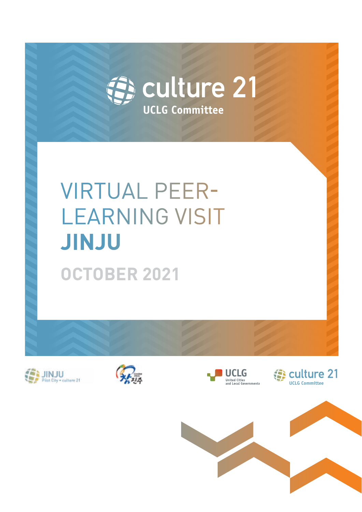

**UCLG Committee**

# VIRTUAL PEER-LEARNING VISIT **JINJU OCTOBER 2021**







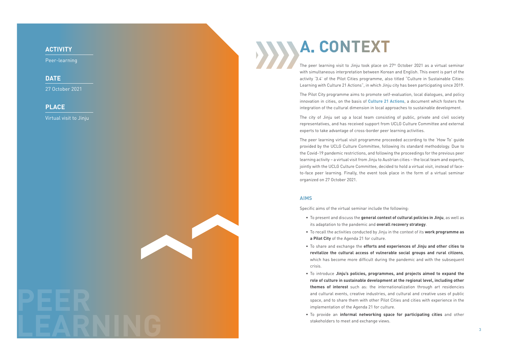The peer learning visit to Jinju took place on 27th October 2021 as a virtual seminar with simultaneous interpretation between Korean and English. This event is part of the activity '3.4' of the Pilot Cities programme, also titled "Culture in Sustainable Cities: Learning with Culture 21 Actions", in which Jinju city has been participating since 2019.

The Pilot City programme aims to promote self-evaluation, local dialogues, and policy innovation in cities, on the basis of **[Culture 21 Actions](http://www.agenda21culture.net/documents/culture-21-actions)**, a document which fosters the integration of the cultural dimension in local approaches to sustainable development.

The city of Jinju set up a local team consisting of public, private and civil society representatives, and has received support from UCLG Culture Committee and external experts to take advantage of cross-border peer learning activities.

The peer learning virtual visit programme proceeded according to the 'How To' guide provided by the UCLG Culture Committee, following its standard methodology. Due to the Covid-19 pandemic restrictions, and following the proceedings for the previous peer learning activity – a virtual visit from Jinju to Austrian cities – the local team and experts, jointly with the UCLG Culture Committee, decided to hold a virtual visit, instead of faceto-face peer learning. Finally, the event took place in the form of a virtual seminar organized on 27 October 2021.

# **AIMS**

Specific aims of the virtual seminar include the following:

**revitalize the cultural access of vulnerable social groups and rural citizens**,

- To present and discuss the **general context of cultural policies in Jinju**, as well as its adaptation to the pandemic and **overall recovery strategy** .
- To recall the activities conducted by Jinju in the context of its **work programme as a Pilot City** of the Agenda 21 for culture.
- To share and exchange the **efforts and experiences of Jinju and other cities to**  which has become more difficult during the pandemic and with the subsequent crisis.
- To introduce **Jinju's policies, programmes, and projects aimed to expand the role of culture in sustainable development at the regional level, including other themes of interest** such as: the internationalization through art residencies and cultural events, creative industries, and cultural and creative uses of public space, and to share them with other Pilot Cities and cities with experience in the implementation of the Agenda 21 for culture.
- stakeholders to meet and exchange views.

• To provide an **informal networking space for participating cities** and other

**PEER**

**LEARNING**

# **ACTIVITY**

Peer-learning

# **DATE**

27 October 2021

# **PLACE**

Virtual visit to Jinju

# **A. CONTEXT**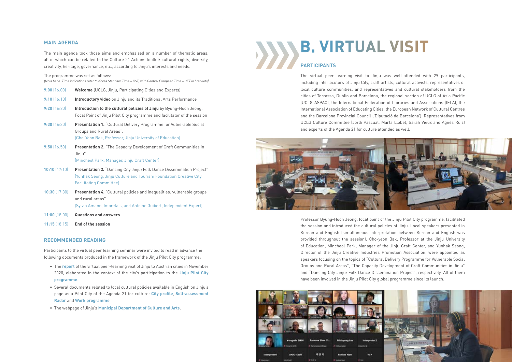

# **B. VIRTUAL VISIT PARTICIPANTS**

The virtual peer learning visit to Jinju was well-attended with 29 participants, including interlocutors of Jinju City, craft artists, cultural activists, representatives of local culture communities, and representatives and cultural stakeholders from the cities of Terrassa, Dublin and Barcelona, the regional section of UCLG of Asia Pacific (UCLG-ASPAC), the International Federation of Libraries and Associations (IFLA), the International Association of Educating Cities, the European Network of Cultural Centres and the Barcelona Provincial Council ('Diputació de Barcelona'). Representatives from UCLG Culture Committee (Jordi Pascual, Marta Llobet, Sarah Vieux and Agnès Ruiz) and experts of the Agenda 21 for culture attended as well.



Professor Byung-Hoon Jeong, focal point of the Jinju Pilot City programme, facilitated the session and introduced the cultural policies of Jinju. Local speakers presented in Korean and English (simultaneous interpretation between Korean and English was provided throughout the session). Cho-yeon Bak, Professor at the Jinju University of Education, Mincheol Park, Manager of the Jinju Craft Center, and Yunhak Seong, Director of the Jinju Creative Industries Promotion Association, were appointed as speakers focusing on the topics of "Cultural Delivery Programme for Vulnerable Social Groups and Rural Areas", "The Capacity Development of Craft Communities in Jinju" and "Dancing City Jinju: Folk Dance Dissemination Project", respectively. All of them have been involved in the Jinju Pilot City global programme since its launch.

# **MAIN AGENDA**

The main agenda took those aims and emphasized on a number of thematic areas, all of which can be related to the Culture 21 Actions toolkit: cultural rights, diversity, creativity, heritage, governance, etc., according to Jinju's interests and needs.

## The programme was set as follows:

(Nota bene: Time indications refer to Korea Standard Time – KST, with Central European Time – CET in brackets)

| 9:00(16:00)       | <b>Welcome</b> (UCLG, Jinju, Participating Cities and Experts)                                                                                             |
|-------------------|------------------------------------------------------------------------------------------------------------------------------------------------------------|
| 9:10(16:10)       | Introductory video on Jinju and its Traditional Arts Performance                                                                                           |
| 9:20[16:20]       | Introduction to the cultural policies of Jinju by Byung-Hoon Jeong,<br>Focal Point of Jinju Pilot City programme and facilitator of the session            |
| 9:30(16:30)       | Presentation 1. "Cultural Delivery Programme for Vulnerable Social<br>Groups and Rural Areas".<br>(Cho-Yeon Bak, Professor, Jinju University of Education) |
| 9:50(16:50)       | <b>Presentation 2.</b> "The Capacity Development of Craft Communities in<br>Jinju"<br>(Mincheol Park, Manager, Jinju Craft Center)                         |
| $10:10$ $(17:10)$ | Presentation 3. "Dancing City Jinju: Folk Dance Dissemination Project"                                                                                     |
|                   |                                                                                                                                                            |

- (Yunhak Seong, Jinju Culture and Tourism Foundation Creative City Facilitating Committee)
- **10:30** (17:30) **Presentation 4.** "Cultural policies and inequalities: vulnerable groups and rural areas" (Sylvia Amann, Inforelais, and Antoine Guibert, Independent Expert)
- **11:00** (18:00) **Questions and answers**
- **11:15** (18:15) **End of the session**

## **RECOMMENDED READING**

Participants to the virtual peer learning seminar were invited to read in advance the following documents produced in the framework of the Jinju Pilot City programme:

- The **[report](https://www.agenda21culture.net/sites/default/files/files/cities/content/visit-1_jinju-eng.pdf)** of the virtual peer-learning visit of Jinju to Austrian cities in November 2020, elaborated in the context of the city's participation to the **[Jinju Pilot City](https://www.agenda21culture.net/our-cities/jinju)  [programme](https://www.agenda21culture.net/our-cities/jinju)**.
- Several documents related to local cultural policies available in English on Jinju's page as a Pilot City of the Agenda 21 for culture: **[City profile](http://www.agenda21culture.net/sites/default/files/files/cities/content/cityprofile_jinju.pdf)**, **[Self-assessment](http://www.agenda21culture.net/sites/default/files/files/cities/content/informe_jinju-eng_0.pdf)  [Radar](http://www.agenda21culture.net/sites/default/files/files/cities/content/informe_jinju-eng_0.pdf)** and **[Work programme](http://www.agenda21culture.net/sites/default/files/files/cities/content/workprogramme_jinju-eng_0.pdf)**.
- The webpage of Jinju's **[Municipal Department of Culture and Arts](http://www.jinju.go.kr/00135/01112/01308.web)**.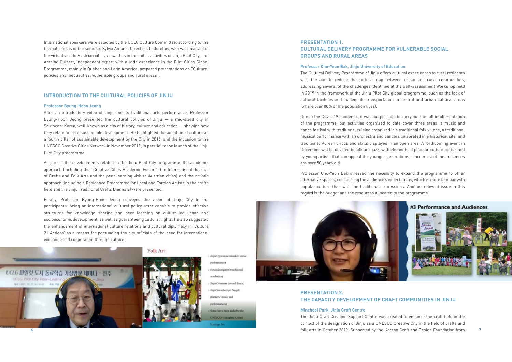International speakers were selected by the UCLG Culture Committee, according to the thematic focus of the seminar. Sylvia Amann, Director of Inforelais, who was involved in the virtual visit to Austrian cities, as well as in the initial activities of Jinju Pilot City, and Antoine Guibert, independent expert with a wide experience in the Pilot Cities Global Programme, mainly in Quebec and Latin America, prepared presentations on "Cultural policies and inequalities: vulnerable groups and rural areas".

# **INTRODUCTION TO THE CULTURAL POLICIES OF JINJU**

## **Professor Byung-Hoon Jeong**

After an introductory video of Jinju and its traditional arts performance, Professor Byung-Hoon Jeong presented the cultural policies of Jinju — a mid-sized city in Southeast Korea, well-known as a city of history, culture and education — showing how they relate to local sustainable development. He highlighted the adoption of culture as a fourth pillar of sustainable development by the City in 2016, and the inclusion to the UNESCO Creative Cities Network in November 2019, in parallel to the launch of the Jinju Pilot City programme.

As part of the developments related to the Jinju Pilot City programme, the academic approach (including the "Creative Cities Academic Forum", the International Journal of Crafts and Folk Arts and the peer learning visit to Austrian cities) and the artistic approach (including a Residence Programme for Local and Foreign Artists in the crafts field and the Jinju Traditional Crafts Biennale) were presented.

Finally, Professor Byung-Hoon Jeong conveyed the vision of Jinju City to the participants: being an international cultural policy actor capable to provide effective structures for knowledge sharing and peer learning on culture-led urban and socioeconomic development, as well as guaranteeing cultural rights. He also suggested the enhancement of international culture relations and cultural diplomacy in 'Culture 21 Actions' as a means for persuading the city officials of the need for international exchange and cooperation through culture.



nerformance) Sotdaejaenginori (traditional aconhecients Jinju Geommu (sword dance) Jinju Samcheonpo Nogak (farmers' music and

Finju Ogwandse (masked dance

performances): Some have been added to the

**INESCO's Imagible Cultral** 

Haritage list:

6 7 folk arts in October 2019. Supported by the Korean Craft and Design Foundation from The Jinju Craft Creation Support Centre was created to enhance the craft field in the context of the designation of Jinju as a UNESCO Creative City in the field of crafts and

# **PRESENTATION 1. CULTURAL DELIVERY PROGRAMME FOR VULNERABLE SOCIAL GROUPS AND RURAL AREAS**

# **Professor Cho-Yeon Bak, Jinju University of Education**

The Cultural Delivery Programme of Jinju offers cultural experiences to rural residents with the aim to reduce the cultural gap between urban and rural communities, addressing several of the challenges identified at the Self-assessment Workshop held in 2019 in the framework of the Jinju Pilot City global programme, such as the lack of cultural facilities and inadequate transportation to central and urban cultural areas (where over 80% of the population lives).

Due to the Covid-19 pandemic, it was not possible to carry out the full implementation of the programme, but activities organised to date cover three areas: a music and dance festival with traditional cuisine organised in a traditional folk village, a traditional musical performance with an orchestra and dancers celebrated in a historical site, and traditional Korean circus and skills displayed in an open area. A forthcoming event in December will be devoted to folk and jazz, with elements of popular culture performed by young artists that can appeal the younger generations, since most of the audiences are over 50 years old.

Professor Cho-Yeon Bak stressed the necessity to expand the programme to other alternative spaces, considering the audience's expectations, which is more familiar with popular culture than with the traditional expressions. Another relevant issue in this regard is the budget and the resources allocated to the programme.



# **PRESENTATION 2. THE CAPACITY DEVELOPMENT OF CRAFT COMMUNITIES IN JINJU**

# **Mincheol Park, Jinju Craft Centre**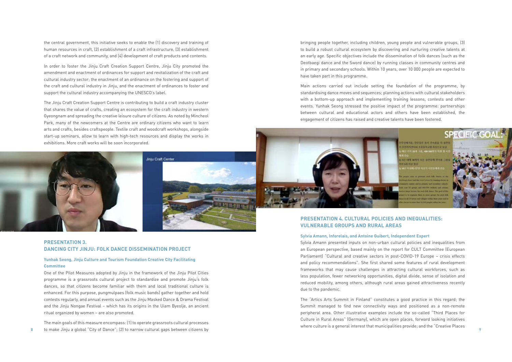the central government, this initiative seeks to enable the (1) discovery and training of human resources in craft, (2) establishment of a craft infrastructure, (3) establishment of a craft network and community, and (4) development of craft products and contents.

In order to foster the Jinju Craft Creation Support Centre, Jinju City promoted the amendment and enactment of ordinances for support and revitalization of the craft and cultural industry sector; the enactment of an ordinance on the fostering and support of the craft and cultural industry in Jinju, and the enactment of ordinances to foster and support the cultural industry accompanying the UNESCO's label.

The Jinju Craft Creation Support Centre is contributing to build a craft industry cluster that shares the value of crafts, creating an ecosystem for the craft industry in western Gyeongnam and spreading the creative leisure culture of citizens. As noted by Mincheol Park, many of the newcomers at the Centre are ordinary citizens who want to learn arts and crafts, besides craftspeople. Textile craft and woodcraft workshops, alongside start-up seminars, allow to learn with high-tech resources and display the works in exhibitions. More craft works will be soon incorporated.





8 9 to make Jinju a global "City of Dance"; (2) to narrow cultural gaps between citizens by The main goals of this measure encompass: (1) to operate grassroots cultural processes

# **PRESENTATION 3. DANCING CITY JINJU: FOLK DANCE DISSEMINATION PROJECT**

# **Yunhak Seong, Jinju Culture and Tourism Foundation Creative City Facilitating Committee**

One of the Pilot Measures adopted by Jinju in the framework of the Jinju Pilot Cities programme is a grassroots cultural project to standardize and promote Jinju's folk dances, so that citizens become familiar with them and local traditional culture is enhanced. For this purpose, pungmulpaes (folk music bands) gather together and hold contests regularly, and annual events such as the Jinju Masked Dance & Drama Festival and the Jinju Nongae Festival – which has its origins in the Uiam Byeolje, an ancient ritual organized by women – are also promoted.

bringing people together, including children, young people and vulnerable groups, (3) to build a robust cultural ecosystem by discovering and nurturing creative talents at an early age. Specific objectives include the dissemination of folk dances (such as the Deotbaegi dance and the Sword dance) by running classes in community centres and in primary and secondary schools. Within 10 years, over 10 000 people are expected to have taken part in this programme.

Main actions carried out include setting the foundation of the programme, by standardising dance moves and sequences; planning actions with cultural stakeholders with a bottom-up approach and implementing training lessons, contests and other events. Yunhak Seong stressed the positive impact of the programme: partnerships between cultural and educational actors and others have been established, the engagement of citizens has raised and creative talents have been fostered.



# **PRESENTATION 4. CULTURAL POLICIES AND INEQUALITIES: VULNERABLE GROUPS AND RURAL AREAS**

## **Sylvia Amann, Inforelais, and Antoine Guibert, Independent Expert**

Sylvia Amann presented inputs on non-urban cultural policies and inequalities from an European perspective, based mainly on the report for CULT Committee (European Parliament) "Cultural and creative sectors in post-COVID-19 Europe – crisis effects and policy recommendations". She first shared some features of rural development frameworks that may cause challenges in attracting cultural workforces, such as less population, fewer networking opportunities, digital divide, sense of isolation and reduced mobility, among others, although rural areas gained attractiveness recently due to the pandemic.

The "Artics Arts Summit in Finland" constitutes a good practice in this regard; the Summit managed to find new connectivity ways and positioned as a non-remote peripheral area. Other illustrative examples include the so-called "Third Places for Culture in Rural Areas" (Germany), which are open places, forward looking initiatives where culture is a general interest that municipalities provide; and the "Creative Places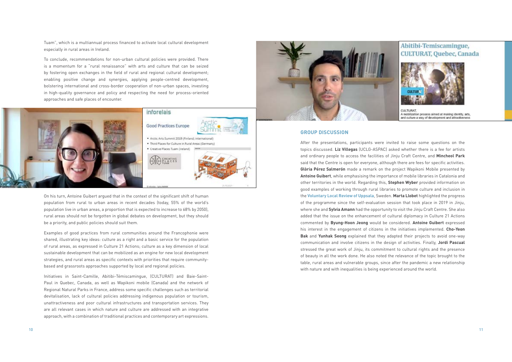Tuam", which is a multiannual process financed to activate local cultural development especially in rural areas in Ireland.

To conclude, recommendations for non-urban cultural policies were provided. There is a momentum for a "rural renaissance" with arts and culture that can be seized by fostering open exchanges in the field of rural and regional cultural development; enabling positive change and synergies, applying people-centred development, bolstering international and cross-border cooperation of non-urban spaces, investing in high-quality governance and policy and respecting the need for process-oriented approaches and safe places of encounter.



On his turn, Antoine Guibert argued that in the context of the significant shift of human population from rural to urban areas in recent decades (today, 55% of the world's population live in urban areas, a proportion that is expected to increase to 68% by 2050), rural areas should not be forgotten in global debates on development, but they should be a priority, and public policies should suit them.

Examples of good practices from rural communities around the Francophonie were shared, illustrating key ideas: culture as a right and a basic service for the population of rural areas, as expressed in Culture 21 Actions; culture as a key dimension of local sustainable development that can be mobilized as an engine for new local development strategies, and rural areas as specific contexts with priorities that require communitybased and grassroots approaches supported by local and regional policies.

Initiatives in Saint-Camille, Abitibi-Témiscamingue, (CULTURAT) and Baie-Saint-Paul in Quebec, Canada, as well as Wapikoni mobile (Canada) and the network of Regional Natural Parks in France, address some specific challenges such as territorial devitalisation, lack of cultural policies addressing indigenous population or tourism, unattractiveness and poor cultural infrastructures and transportation services. They are all relevant cases in which nature and culture are addressed with an integrative approach, with a combination of traditional practices and contemporary art expressions.



# **GROUP DISCUSSION**

After the presentations, participants were invited to raise some questions on the topics discussed. **Liz Villegas** (UCLG-ASPAC) asked whether there is a fee for artists and ordinary people to access the facilities of Jinju Craft Centre, and **Mincheol Park**  said that the Centre is open for everyone, although there are fees for specific activities. **Glòria Pérez Salmerón** made a remark on the project Wapikoni Mobile presented by **Antoine Guibert**, while emphasising the importance of mobile libraries in Catalonia and other territories in the world. Regarding this, **Stephen Wyber** provided information on good examples of working through rural libraries to promote culture and inclusion in the **[Voluntary Local Review of Uppsala](https://www.uppsala.se/contentassets/cfd3db5376084b168bce67e57ce73dcc/uppsala_and_agenda_2030_vlr-rapport_2021.pdf)**, Sweden. **Marta Llobet** highlighted the progress of the programme since the self-evaluation session that took place in 2019 in Jinju, where she and **Sylvia Amann** had the opportunity to visit the Jinju Craft Centre. She also added that the issue on the enhancement of cultural diplomacy in Culture 21 Actions commented by **Byung-Hoon Jeong** would be considered. **Antoine Guibert** expressed his interest in the engagement of citizens in the initiatives implemented. **Cho-Yeon Bak** and **Yunhak Seong** explained that they adapted their projects to avoid one-way communication and involve citizens in the design of activities. Finally, **Jordi Pascual**  stressed the great work of Jinju, its commitment to cultural rights and the presence of beauty in all the work done. He also noted the relevance of the topic brought to the table, rural areas and vulnerable groups, since after the pandemic a new relationship with nature and with inequalities is being experienced around the world.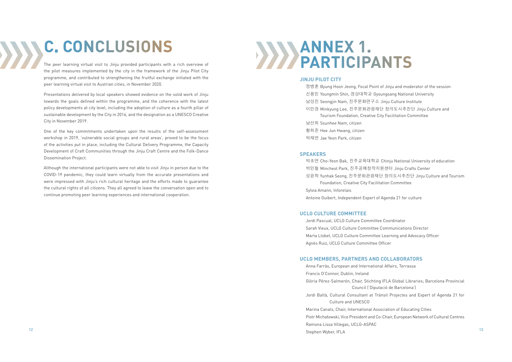# **C. CONCLUSIONS**

The peer learning virtual visit to Jinju provided participants with a rich overview of the pilot measures implemented by the city in the framework of the Jinju Pilot City programme, and contributed to strengthening the fruitful exchange initiated with the peer learning virtual visit to Austrian cities, in November 2020.

Presentations delivered by local speakers showed evidence on the solid work of Jinju towards the goals defined within the programme, and the coherence with the latest policy developments at city level, including the adoption of culture as a fourth pillar of sustainable development by the City in 2016, and the designation as a UNESCO Creative City in November 2019.

One of the key commitments undertaken upon the results of the self-assessment workshop in 2019, 'vulnerable social groups and rural areas', proved to be the focus of the activities put in place, including the Cultural Delivery Programme, the Capacity Development of Craft Communities through the Jinju Craft Centre and the Folk-Dance Dissemination Project.

Although the international participants were not able to visit Jinju in person due to the COVID-19 pandemic, they could learn virtually from the accurate presentations and were impressed with Jinju's rich cultural heritage and the efforts made to guarantee the cultural rights of all citizens. They all agreed to leave the conversation open and to continue promoting peer learning experiences and international cooperation.

 $\frac{12}{13}$ Anna Farràs, European and International Affairs, Terrassa Francis O'Connor, Dublin, Ireland Glòria Pérez-Salmerón, Chair, Stichting IFLA Global Libraries; Barcelona Provincial Council ('Diputació de Barcelona') Jordi Baltà, Cultural Consultant at Trànsit Projectes and Expert of Agenda 21 for Culture and UNESCO Marina Canals, Chair, International Association of Educating Cities Piotr Michałowski, Vice President and Co-Chair, European Network of Cultural Centres Ramona Lissa Villegas, UCLG-ASPAC Stephen Wyber, IFLA

# **JINJU PILOT CITY**

 $\mathcal{W}$ 

정병훈 Byung Hoon Jeong, Focal Point of Jinju and moderator of the session 신용민 Youngmin Shin, 경상대학교 Gyoungsang National University 남성진 Seongjin Nam, 진주문화연구소 Jinju Culture Institute 이민경 Minkyung Lee, 진주문화관광재단 창의도시추진단 Jinju Culture and Tourism Foundation, Creative City Facilitation Committee 남선희 Ssunhee Nam, citizen 황희준 Hee Jun Hwang, citizen 박재연 Jae Yeon Park, citizen

# **SPEAKERS**

박초연 Cho-Yeon Bak, 진주교육대학교 Chinju National University of education 박민철 Mincheol Park, 진주공예창작지원센터 Jinju Crafts Center 성윤학 Yunhak Seong, 진주문화관광재단 창의도시추진단 Jinju Culture and Tourism Foundation, Creative City Facilitation Committee Sylvia Amann, Inforelais Antoine Guibert, Independent Expert of Agenda 21 for culture

# **UCLG CULTURE COMMITTEE**

Jordi Pascual, UCLG Culture Committee Coordinator Sarah Vieux, UCLG Culture Committee Communications Director Marta Llobet, UCLG Culture Committee Learning and Advocacy Officer Agnès Ruiz, UCLG Culture Committee Officer

# **UCLG MEMBERS, PARTNERS AND COLLABORATORS**